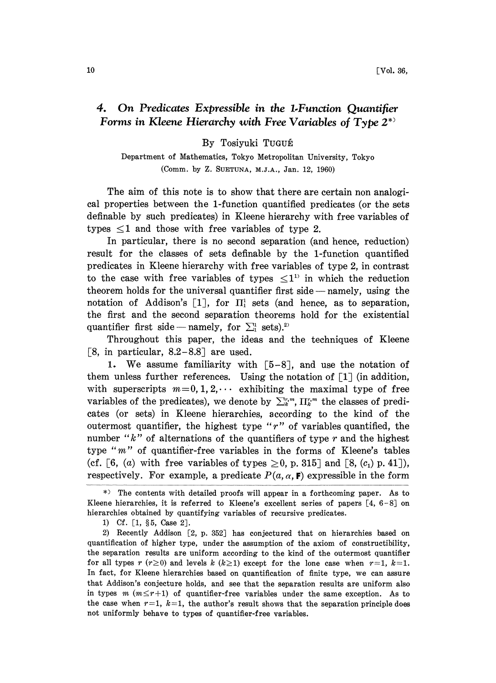## 4. On Predicates Expressible in the 1.Function Quantifier Forms in Kleene Hierarchy with Free Variables of Type  $2^*$

By Tosiyuki TuguÉ

Department of Mathematics, Tokyo Metropolitan University, Tokyo (Comm. by Z. SUETUNA, M.J.A., Jan. 12, 1960)

The aim of this note is to show that there are certain non analogical properties between the 1-function quantified predicates (or the sets definable by such predicates) in Kleene hierarchy with free variables of types  $\leq 1$  and those with free variables of type 2.

In particular, there is no second separation (and hence, reduction) result for the classes of sets definable by the 1-function quantified predicates in Kleene hierarchy with free variables of type 2, in contrast to the case with free variables of types  $\leq 1$ <sup>13</sup> in which the reduction theorem holds for the universal quantifier first side  $-$  namely, using the notation of Addison's [1], for  $\Pi_1^1$  sets (and hence, as to separation, the first and the second separation theorems hold for the existential quantifier first side — namely, for  $\Sigma_1^1$  sets).<sup>2)</sup>

Throughout this paper, the ideas and the techniques of Kleene [8, in particular,  $8.2-8.8$ ] are used.

1. We assume familiarity with  $[5-8]$ , and use the notation of them unless further references. Using the notation of  $\begin{bmatrix} 1 \end{bmatrix}$  (in addition, with superscripts  $m=0, 1, 2, \cdots$  exhibiting the maximal type of free variables of the predicates), we denote by  $\sum_{k=1}^{r,m} \prod_{k=1}^{r,m}$  the classes of predicates (or sets) in Kleene hierarchies, sccording to the kind of the outermost quantifier, the highest type " $r$ " of variables quantified, the number " $k$ " of alternations of the quantifiers of type  $r$  and the highest type " $m$ " of quantifier-free variables in the forms of Kleene's tables (cf. [6, (a) with free variables of types  $\geq 0$ , p. 315] and [8, (c<sub>1</sub>) p. 41]), respectively. For example, a predicate  $P(a, \alpha, \mathbf{F})$  expressible in the form

<sup>\*)</sup> The contents with detailed proofs will appear in a forthcoming paper. As to Kleene hierarchies, it is referred to Kleene's excellent series of papers  $[4, 6-8]$  on hierarchies obtained by quantifying variables of recursive predicates.

<sup>1)</sup> Cf. [1, §5, Case 2].

<sup>2)</sup> Recently Addison [2, p. 352] has conjectured that on hierarchies based on quantification of higher type, under the assumption of the axiom of constructibility, the separation results are uniform according to the kind of the outermost quantifier for all types r (r  $\geq$  0) and levels k (k  $\geq$  1) except for the lone case when r=1, k=1. In fact, for Kleene hierarchies based on quantification of finite type, we can assure that Addison's conjecture holds, and see that the separation results are uniform also in types  $m (m \le r+1)$  of quantifier-free variables under the same exception. As to the case when  $r=1$ ,  $k=1$ , the author's result shows that the separation principle does not uniformly behave to types of quantifier-free variables.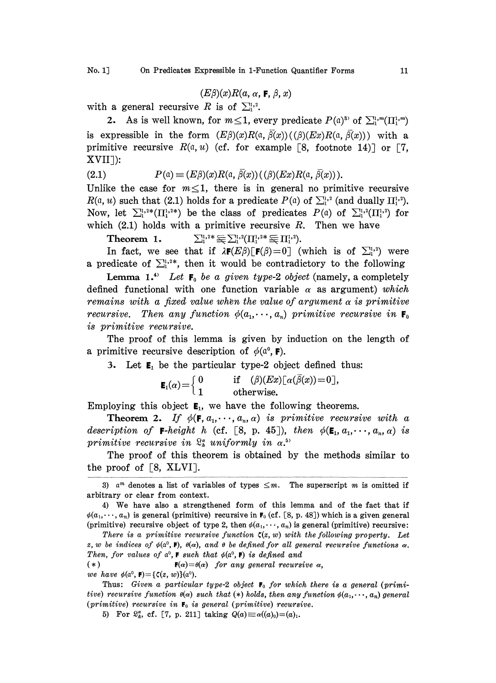$$
(E\beta)(x)R(a, \alpha, \mathbf{F}, \beta, x)
$$

with a general recursive R is of  $\Sigma^{1,2}$ .

2. As is well known, for  $m \leq 1$ , every predicate  $P(\mathfrak{a})^3$  of  $\sum_{i=1}^{1} (II_i^{1,m})$ is expressible in the form  $(E\beta)(x)R(a, \overline{\beta}(x))$  (( $\beta)(Ex)R(a, \overline{\beta}(x))$ ) with a primitive recursive  $R(\alpha, u)$  (cf. for example [8, footnote 14)] or [7, XVII):

(2.1) 
$$
P(\mathfrak{a}) \equiv (E\beta)(x)R(\mathfrak{a}, \beta(x))((\beta)(Ex)R(\mathfrak{a}, \beta(x))).
$$

Unlike the case for  $m \leq 1$ , there is in general no primitive recursive  $R(\alpha, u)$  such that (2.1) holds for a predicate  $P(\alpha)$  of  $\sum_{i=1}^{n}$  (and dually  $\Pi_{i}^{1,2}$ ). Now, let  $\sum_{i=1}^{1}e^{i\theta}(\prod_{i=1}^{1}e^{i\theta})$  be the class of predicates  $P(\theta)$  of  $\sum_{i=1}^{1}e^{i\theta}(\prod_{i=1}^{1}e^{i\theta})$  for which  $(2.1)$  holds with a primitive recursive R. Then we have

 $\sum_{1}^{1,2*} \tilde{\equiv} \sum_{1}^{1,2} (\prod_{1}^{1,2*} \tilde{\equiv} \prod_{1}^{1,2}).$ 

Theorem 1.  $\sum_{i=1}^{n} \sum_{i=1}^{n} (II_{i}^{1})^{2k}$ <br>In fact, we see that if  $\lambda \mathbf{F}(E\beta) [\mathbf{F}(\beta)]$ <br>edicate of  $\Sigma^{1,2*}$  then it would be In fact, we see that if  $\lambda \mathbf{F}(E\beta) [\mathbf{F}(\beta)=0]$  (which is of  $\sum_{i=1}^{1}$ ) were a predicate of  $\sum_{i=1}^{n}$ , then it would be contradictory to the following

Lemma 1.<sup>4</sup> Let  $F_0$  be a given type-2 object (namely, a completely defined functional with one function variable  $\alpha$  as argument) which remains with a fixed value when the value of argument  $\alpha$  is primitive recursive. Then any function  $\phi(a_1,\dots,a_n)$  primitive recursive in  $\mathbf{F}_0$ is primitive recursive.

The proof of this lemma is given by induction on the length of a primitive recursive description of  $\phi(\mathfrak{a}^0, \mathbf{F})$ .

3. Let  $\mathbf{E}_1$  be the particular type-2 object defined thus:

$$
\mathbf{E}_1(\alpha) = \begin{cases} 0 & \text{if } (\beta)(Ex)\lfloor \alpha(\beta(x)) = 0 \rfloor, \\ 1 & \text{otherwise.} \end{cases}
$$

Employing this object  $E_1$ , we have the following theorems.

**Theorem 2.** If  $\phi(\mathbf{F}, a_1, \dots, a_n, \alpha)$  is primitive recursive with a description of **F**-height h (cf. [8, p. 45]), then  $\phi(\mathbf{E}_1, a_1, \dots, a_n, \alpha)$  is primitive recursive in  $\mathbb{S}_{h}^{a}$  uniformly in  $\alpha$ .<sup>5)</sup>

The proof of this theorem is obtained by the methods similar to the proof of  $\lceil 8, \text{ XLVI} \rceil$ .

(\*)  $\mathbf{F}(\alpha) = \theta(\alpha)$  for any general recursive  $\alpha$ ,

we have  $\phi(\mathfrak{a}^0, \mathbf{F}) = {\mathfrak{c}(z, w)}(\mathfrak{a}^0)$ .

Thus: Given a particular type-2 object  $F_0$  for which there is a general (primitive) recursive function  $\theta(\alpha)$  such that (\*) holds, then any function  $\phi(\alpha_1, \dots, \alpha_n)$  general (primitive) recursive in  $F_0$  is general (primitive) recursive.

5) For  $S_{k}^{\alpha}$ , cf. [7, p. 211] taking  $Q(a) \equiv \alpha((a_0) = (a)_1$ .

<sup>3)</sup> a<sup>m</sup> denotes a list of variables of types  $\leq m$ . The superscript m is omitted if arbitrary or clear from context.

<sup>4)</sup> We have also <sup>a</sup> strengthenecl form of this lemma and of the fact that if  $\phi(a_1,\dots, a_n)$  is general (primitive) recursive in  $F_0$  (cf. [8, p. 48]) which is a given general (primitive) recursive object of type 2, then  $\phi(a_1, \dots, a_n)$  is general (primitive) recursive:

There is a primitive recursive function  $\zeta(z, w)$  with the following property. Let z, w be indices of  $\phi(\alpha^0, \mathbf{F})$ ,  $\theta(\alpha)$ , and  $\theta$  be defined for all general recursive functions  $\alpha$ . Then, for values of  $a^0$ , **F** such that  $\phi(a^0, \mathbf{F})$  is defined and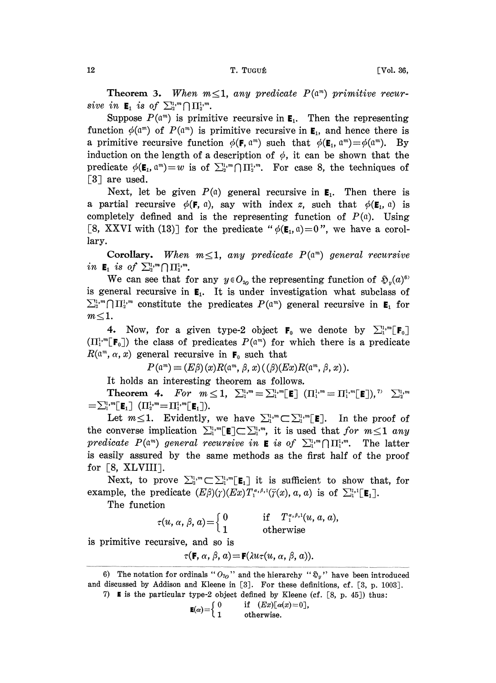**Theorem 3.** When  $m \leq 1$ , any predicate  $P(\mathfrak{a}^m)$  primitive recur-12<br>Theorem 3. When m<br>sive in  $\mathbf{E}_1$  is of  $\sum_{i=1}^{n} \prod_{i=1}^{n} m_i$ .

Suppose  $P(\mathfrak{a}^m)$  is primitive recursive in  $\mathbf{E}_1$ . Then the representing function  $\phi(\mathfrak{a}^m)$  of  $P(\mathfrak{a}^m)$  is primitive recursive in  $\mathbf{E}_1$ , and hence there is a primitive recursive function  $\phi(\mathbf{F}, \mathfrak{a}^m)$  such that  $\phi(\mathbf{E}_1, \mathfrak{a}^m) = \phi(\mathfrak{a}^m)$ . By induction on the length of a description of  $\phi$ , it can be shown that the predicate  $\phi(\mathbf{E}_1, \mathbf{a}^m) = w$  is of  $\sum_{i=1}^{n} \bigcap \prod_{i=1}^{n} \mathbf{B}_i$ . For case 8, the techniques of  $\lceil 3 \rceil$  are used.

Next, let be given  $P(\mathfrak{a})$  general recursive in  $\mathbf{E}_1$ . Then there is a partial recursive  $\phi(\mathbf{F}, \mathfrak{a})$ , say with index z, such that  $\phi(\mathbf{E}_1, \mathfrak{a})$  is completely defined and is the representing function of  $P(a)$ . Using [8, XXVI with (13)] for the predicate " $\phi(\mathbf{E}_1, \mathbf{a})=0$ ", we have a corollary.

**Corollary.** When  $m \leq 1$ , any predicate  $P(\mathfrak{a}^m)$  general recursive in  $\mathbf{E}_1$  is of  $\sum_{i=1}^{n}$   $\bigcap \prod_{i=1}^{n}$ .

We can see that for any  $y \in O_{\alpha}$  the representing function of  $\mathfrak{H}_y(a)^{6}$ is general recursive in  $E_1$ . It is under investigation what subclass of  $\sum_{i=1}^{n} \bigcap_{i=1}^{\infty} \mathbb{Z}^n$  constitute the predicates  $P(\mathfrak{a}^m)$  general recursive in  $\mathbf{E}_1$  for  $m \leq 1$ .

4. Now, for a given type-2 object  $F_0$  we denote by  $\sum_{i=1}^{n} [F_0]$  $(\Pi_1^{1,m}[\mathbf{F}_0])$  the class of predicates  $P(\mathfrak{a}^m)$  for which there is a predicate  $R(\mathfrak{a}^m, \alpha, x)$  general recursive in  $\mathbf{F}_0$  such that

 $P(\mathfrak{a}^m) \equiv (E\beta)(x)R(\mathfrak{a}^m, \beta, x)$  (  $(\beta)(Ex)R(\mathfrak{a}^m, \beta, x)$  ).

It holds an interesting theorem as follows.

**Theorem 4.** For  $m \le 1$ ,  $\sum_{1}^{1,m} = \sum_{1}^{1,m} [E]$   $(\prod_{1}^{1,m} = \prod_{1}^{1,m} [E]),$   $\sum_{2}^{1,m}$ <br> $\sum_{1}^{1,m} [E_1]$   $(\prod_{2}^{1,m} = \prod_{1}^{1,m} [E_1]).$ Let  $m \leq 1$ ,  $\sum_{i=1}^{n} (-1)^{i} = \prod_{i=1}^{n} (-1)^{i}$ ,  $\sum_{i=1}^{n} (-1)^{i} = \sum_{i=1}^{n} (-1)^{i}$ ,  $\sum_{i=1}^{n} (-1)^{i} = \sum_{i=1}^{n} (-1)^{i}$ ,  $\sum_{i=1}^{n} (-1)^{i} = \sum_{i=1}^{n} (-1)^{i}$ ,  $\sum_{i=1}^{n} (-1)^{i} = \sum_{i=1}^{n} (-1)^{i}$ ,  $\sum_{i=1}^{n} (-1)^{i} = \sum_{i$ 

Let  $m \leq 1$ . Evidently, we have  $\sum_{i}^{1} m \subset \sum_{i}^{1} m$  [E]. In the proof of<br>the converse implication  $\sum_{i}^{1} m$  [E] $\subset \sum_{i}^{1} m$ , it is used that for  $m \leq 1$  any<br>predicate  $P(a^m)$  general recursive in **E** is of  $\sum_{i}^{$ is easily assured by the same methods as the first half of the proof for  $\lceil 8, \text{XLVIII} \rceil$ . predicate  $P(\mathfrak{a}^m)$  general recursive in **E** is of  $\sum_{i=1}^{n} \prod_{i=1}^{n} m$ . The latter<br>is easily assured by the same methods as the first half of the proof<br>for [8, XLVIII].<br>Next, to prove  $\sum_{i=1}^{n} \sum_{i=1}^{n} \mathbf{E}_i$ 

example, the predicate  $(E\beta)(\gamma)(Ex)T_1^{\alpha,\beta,1}(\overline{\gamma}(x), a, a)$  is of  $\Sigma_1^{1,1}[\mathbf{E}_1].$ 

The function

 $\tau(u, \alpha, \beta, a) = \left\{ \begin{matrix} 0 & \quad & \text{if} \quad T_1^{\alpha, \beta, 1}(u, a, a), \ 1 & \quad & \text{otherwise} \end{matrix} \right.$ 

is primitive recursive, and so is

 $\tau(\mathbf{F}, \alpha, \beta, a) = \mathbf{F}(\lambda u \tau(u, \alpha, \beta, a)).$ 

$$
I) \quad \text{If} \quad \text{If} \quad \text{If} \quad \text{If} \quad \text{If} \quad \text{If} \quad \text{If} \quad \text{If} \quad \text{If} \quad \text{If} \quad \text{If} \quad \text{If} \quad \text{If} \quad \text{If} \quad \text{If} \quad \text{If} \quad \text{If} \quad \text{If} \quad \text{If} \quad \text{If} \quad \text{If} \quad \text{If} \quad \text{If} \quad \text{If} \quad \text{If} \quad \text{If} \quad \text{If} \quad \text{If} \quad \text{If} \quad \text{If} \quad \text{If} \quad \text{If} \quad \text{If} \quad \text{If} \quad \text{If} \quad \text{If} \quad \text{If} \quad \text{If} \quad \text{If} \quad \text{If} \quad \text{If} \quad \text{If} \quad \text{If} \quad \text{If} \quad \text{If} \quad \text{If} \quad \text{If} \quad \text{If} \quad \text{If} \quad \text{If} \quad \text{If} \quad \text{If} \quad \text{If} \quad \text{If} \quad \text{If} \quad \text{If} \quad \text{If} \quad \text{If} \quad \text{If} \quad \text{If} \quad \text{If} \quad \text{If} \quad \text{If} \quad \text{If} \quad \text{If} \quad \text{If} \quad \text{If} \quad \text{If} \quad \text{If} \quad \text{If} \quad \text{If} \quad \text{If} \quad \text{If} \quad \text{If} \quad \text{If} \quad \text{If} \quad \text{If} \quad \text{If} \quad \text{If} \quad \text{If} \quad \text{If} \quad \text{If} \quad \text{If} \quad \text{If} \quad \text{If} \quad \text{If} \quad \text{If} \quad \text{If} \quad \text{If} \quad \text{If} \quad \text{If} \quad \text{If} \quad \text{If} \quad \text{If} \quad \text{If} \quad \text{If} \quad \text{If} \quad \text{If} \quad \text{If} \quad \text{If} \quad \text{If} \quad \text{If} \quad \text{If} \quad \text{If} \quad \text{If} \quad \text{If} \quad \text{If} \quad \text{If} \
$$

$$
\mathbf{E}(\alpha) = \left\{ \begin{array}{lcl} 0 & \quad \text{if} & (Ex)[\alpha(x) = 0], \\ 1 & \quad \text{otherwise.} \end{array} \right.
$$

<sup>6)</sup> The notation for ordinals " $O_{20}$ " and the hierarchy " $\mathfrak{g}_y$ " have been introduced and discussed by Addison and Kleene in [3]. For these definitions, cf. [3, p. 1003]. particular type-2 object defined by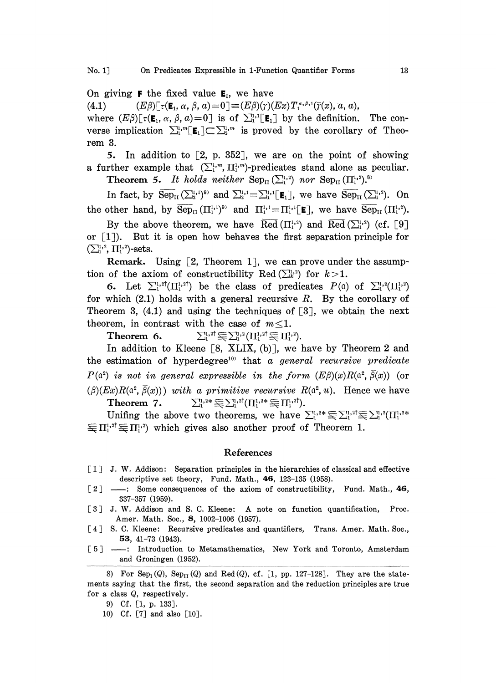On giving **F** the fixed value  $E_i$ , we have

(4.1)  $(E\beta)\lceil \tau(\mathbf{E}_1, \alpha, \beta, a)=0\rceil \equiv (E\beta)(\gamma)(Ex)T_1^{\alpha,\beta,1}(\bar{\gamma}(x), a, a),$ where  $(E\beta)[\tau(\mathbf{E}_1, \alpha, \beta, a)=0]$  is of  $\sum_{i=1}^{n} [\mathbf{E}_1]$  by the definition. The converse implication  $\sum_{i=1}^{n} \mathbf{E}_i \subset \sum_{i=1}^{n}$  is proved by the corollary of Theorem 3.

5. In addition to  $[2, p. 352]$ , we are on the point of showing a further example that  $(\sum_{i=1}^{n} \Pi_{i=1}^{1,m})$ -predicates stand alone as peculiar. **Theorem 5.** It holds neither  $\text{Sep}_{II}(\sum_{i=1}^{1,2})$  nor  $\text{Sep}_{II}(\Pi_1^{1,2})$ .<sup>8)</sup>

In fact, by  $\overline{\text{Sep}}_{II}(\sum_{i=1}^{i_1}1)^{9}$  and  $\sum_{i=1}^{i_1}1=\sum_{i=1}^{i_1}1[\mathbf{E}_1]$ , we have  $\overline{\text{Sep}}_{II}(\sum_{i=1}^{i_1}2)$ . On the other hand, by  $\overline{\text{Sep}}_{\text{II}}(\Pi_1^{1,1})^{\circ}$  and  $\Pi_1^{1,1}=\Pi_1^{1,1}[\mathbf{E}]$ , we have  $\overline{\text{Sep}}_{\text{II}}(\Pi_1^{1,2})$ .

By the above theorem, we have Red  $(\Pi_1^{1,2})$  and  $\overline{\text{Red}}\left(\sum_1^{1,2}\right)$  (cf. [9] or  $\lceil 1 \rceil$ . But it is open how behaves the first separation principle for  $(\sum_{1}^{1,2}, \prod_{1}^{1,2})$ -sets.

**Remark.** Using  $[2,$  Theorem 1, we can prove under the assumption of the axiom of constructibility Red  $(\sum_{k=1}^{n}$  for  $k>1$ .

6. Let  $\sum_{i}^{1,2^{\dagger}}(\prod_{i}^{1,2^{\dagger}})$  be the class of predicates  $P(\mathfrak{a})$  of  $\sum_{i}^{1,2}(\prod_{i}^{1,2})$ for which  $(2.1)$  holds with a general recursive R. By the corollary of Theorem 3,  $(4.1)$  and using the techniques of  $[3]$ , we obtain the next theorem, in contrast with the case of  $m \leq 1$ .

**Theorem 6.**  $\sum_{i}^{1,2^{\dagger}} \xi \xi \sum_{i}^{1,2} (\prod_{i}^{1,2^{\dagger}} \xi \xi \prod_{i}^{1,2}).$ 

In addition to Kleene  $[8, \text{ XLIX}, (b)]$ , we have by Theorem 2 and the estimation of hyperdegree<sup>10</sup> that a general recursive predicate  $P(\mathfrak{a}^2)$  is not in general expressible in the form  $(E\beta)(x)R(\mathfrak{a}^2, \overline{\beta}(x))$  (or  $(\beta)(Ex)R(a^2, \overline{\beta}(x))$  with a primitive recursive  $R(a^2, u)$ . Hence we have **Theorem 7.**  $\sum_{i=1}^{1,2*} \sum_{i=1}^{1,2^{\dagger}} (\prod_{i=1}^{1,2*} \sum_{i=1}^{1,2^{\dagger}}).$ 

 $\equiv \sum_{i}^{1,2^{\dagger}} (\Pi_{i}^{1,2*} \equiv \Pi_{i}^{1,2^{\dagger}}).$ <br>theorems, we have<br>also another proof of Unifing the above two theorems, we have  $\sum_{i=1}^{1} x^i \equiv \sum_{i=1}^{1} x^i (H_1^{1,2*})$  $\equiv \prod_1^{1,2^{\dagger}} \equiv \prod_1^{1,2}$  which gives also another proof of Theorem 1.

## References

- <sup>1</sup> J. W. Addison: Separation principles in the hierarchies of classical and effective descriptive set theory, Fund. Math., 46, 123-135 (1958).
- $\lceil 2 \rceil$  Some consequences of the axiom of constructibility, Fund. Math., 46, 337-357 (1959).
- [3] J. W. Addison and S. C. Kleene: A note on function quantification, Proc. Amer. Math. Soc., 8, 1002-1006 (1957).
- [4] S. C. Kleene: Recursive predicates and quantifiers, Trans. Amer. Math. Soc., 53, 41-73 (1943).
- [5] : Introduction to Metamathematics, New York and Toronto, Amsterdam and Groningen (1952).

8) For Sep<sub>I</sub>(Q), Sep<sub>II</sub>(Q) and Red(Q), cf. [1, pp. 127-128]. They are the statements saying that the first, the second separation and the reduction principles are true for a class Q, respectively.

10) Cf. [7] and also [10].

<sup>9)</sup> Cf. [I, p. 133].